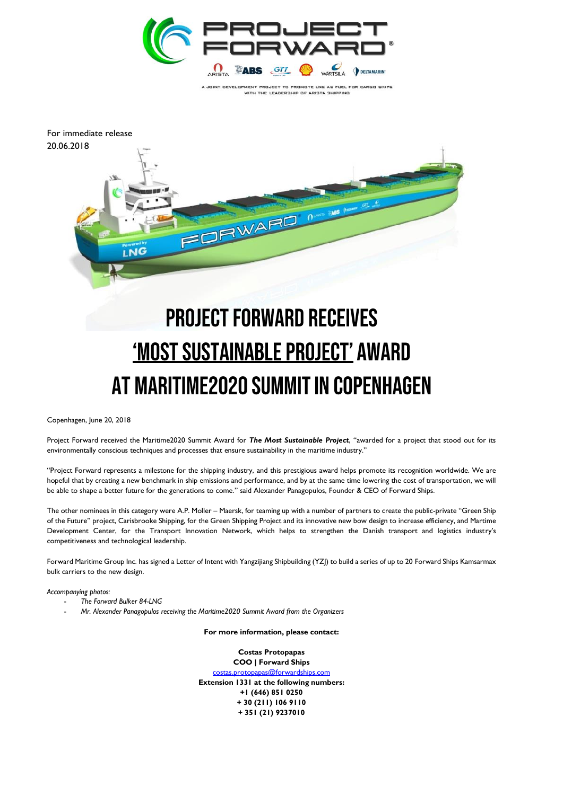

A JOINT DEVELOPMENT PROJECT TO PROMOTE LNG AS FUEL FOR CARGO SHIPS WITH THE LEADERSHIP OF ARISTA SHIP



## **PROJECT FORWARD RECEIVES** <u>'MOST SUSTAINABLE PROJECT'</u> AWARD AT MARITIME2020 SUMMIT IN COPENHAGEN

Copenhagen, June 20, 2018

Project Forward received the Maritime2020 Summit Award for *The Most Sustainable Project*, "awarded for a project that stood out for its environmentally conscious techniques and processes that ensure sustainability in the maritime industry."

"Project Forward represents a milestone for the shipping industry, and this prestigious award helps promote its recognition worldwide. We are hopeful that by creating a new benchmark in ship emissions and performance, and by at the same time lowering the cost of transportation, we will be able to shape a better future for the generations to come." said Alexander Panagopulos, Founder & CEO of Forward Ships.

The other nominees in this category were A.P. Moller – Maersk, for teaming up with a number of partners to create the public-private "Green Ship of the Future" project, Carisbrooke Shipping, for the Green Shipping Project and its innovative new bow design to increase efficiency, and Martime Development Center, for the Transport Innovation Network, which helps to strengthen the Danish transport and logistics industry's competitiveness and technological leadership.

Forward Maritime Group Inc. has signed a Letter of Intent with Yangzijiang Shipbuilding (YZJ) to build a series of up to 20 Forward Ships Kamsarmax bulk carriers to the new design.

*Accompanying photos:* 

- *The Forward Bulker 84-LNG*
- *Mr. Alexander Panagopulos receiving the Maritime2020 Summit Award from the Organizers*

**For more information, please contact:**

**Costas Protopapas COO | Forward Ships** [costas.protopapas@forwardships.com](mailto:costas.protopapas@forwardships.com) **Extension 1331 at the following numbers: +1 (646) 851 0250 + 30 (211) 106 9110 + 351 (21) 9237010**